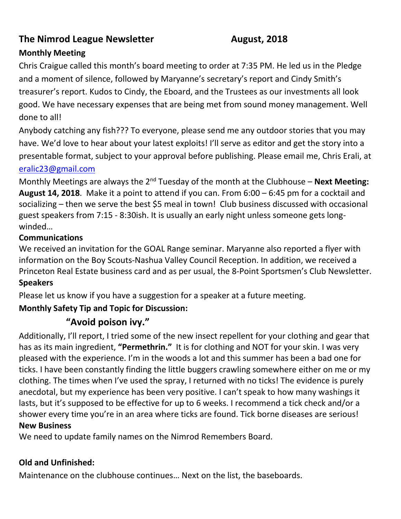# **The Nimrod League Newsletter August, 2018**

## **Monthly Meeting**

Chris Craigue called this month's board meeting to order at 7:35 PM. He led us in the Pledge and a moment of silence, followed by Maryanne's secretary's report and Cindy Smith's treasurer's report. Kudos to Cindy, the Eboard, and the Trustees as our investments all look good. We have necessary expenses that are being met from sound money management. Well done to all!

Anybody catching any fish??? To everyone, please send me any outdoor stories that you may have. We'd love to hear about your latest exploits! I'll serve as editor and get the story into a presentable format, subject to your approval before publishing. Please email me, Chris Erali, at

#### [eralic23@gmail.com](mailto:eralic23@gmail.com)

Monthly Meetings are always the 2<sup>nd</sup> Tuesday of the month at the Clubhouse – **Next Meeting: August 14, 2018**. Make it a point to attend if you can. From 6:00 – 6:45 pm for a cocktail and socializing – then we serve the best \$5 meal in town! Club business discussed with occasional guest speakers from 7:15 - 8:30ish. It is usually an early night unless someone gets longwinded…

#### **Communications**

We received an invitation for the GOAL Range seminar. Maryanne also reported a flyer with information on the Boy Scouts-Nashua Valley Council Reception. In addition, we received a Princeton Real Estate business card and as per usual, the 8-Point Sportsmen's Club Newsletter. **Speakers**

Please let us know if you have a suggestion for a speaker at a future meeting.

## **Monthly Safety Tip and Topic for Discussion:**

# **"Avoid poison ivy."**

Additionally, I'll report, I tried some of the new insect repellent for your clothing and gear that has as its main ingredient, **"Permethrin."** It is for clothing and NOT for your skin. I was very pleased with the experience. I'm in the woods a lot and this summer has been a bad one for ticks. I have been constantly finding the little buggers crawling somewhere either on me or my clothing. The times when I've used the spray, I returned with no ticks! The evidence is purely anecdotal, but my experience has been very positive. I can't speak to how many washings it lasts, but it's supposed to be effective for up to 6 weeks. I recommend a tick check and/or a shower every time you're in an area where ticks are found. Tick borne diseases are serious! **New Business**

We need to update family names on the Nimrod Remembers Board.

#### **Old and Unfinished:**

Maintenance on the clubhouse continues… Next on the list, the baseboards.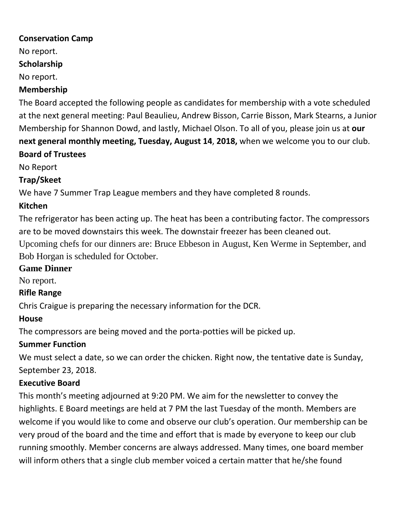#### **Conservation Camp**

No report.

#### **Scholarship**

No report.

#### **Membership**

The Board accepted the following people as candidates for membership with a vote scheduled at the next general meeting: Paul Beaulieu, Andrew Bisson, Carrie Bisson, Mark Stearns, a Junior Membership for Shannon Dowd, and lastly, Michael Olson. To all of you, please join us at **our next general monthly meeting, Tuesday, August 14**, **2018,** when we welcome you to our club. **Board of Trustees**

No Report

## **Trap/Skeet**

We have 7 Summer Trap League members and they have completed 8 rounds.

## **Kitchen**

The refrigerator has been acting up. The heat has been a contributing factor. The compressors are to be moved downstairs this week. The downstair freezer has been cleaned out.

Upcoming chefs for our dinners are: Bruce Ebbeson in August, Ken Werme in September, and Bob Horgan is scheduled for October.

## **Game Dinner**

No report.

## **Rifle Range**

Chris Craigue is preparing the necessary information for the DCR.

## **House**

The compressors are being moved and the porta-potties will be picked up.

## **Summer Function**

We must select a date, so we can order the chicken. Right now, the tentative date is Sunday, September 23, 2018.

## **Executive Board**

This month's meeting adjourned at 9:20 PM. We aim for the newsletter to convey the highlights. E Board meetings are held at 7 PM the last Tuesday of the month. Members are welcome if you would like to come and observe our club's operation. Our membership can be very proud of the board and the time and effort that is made by everyone to keep our club running smoothly. Member concerns are always addressed. Many times, one board member will inform others that a single club member voiced a certain matter that he/she found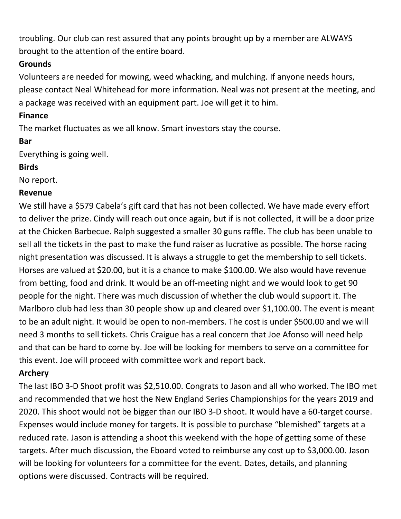troubling. Our club can rest assured that any points brought up by a member are ALWAYS brought to the attention of the entire board.

## **Grounds**

Volunteers are needed for mowing, weed whacking, and mulching. If anyone needs hours, please contact Neal Whitehead for more information. Neal was not present at the meeting, and a package was received with an equipment part. Joe will get it to him.

#### **Finance**

The market fluctuates as we all know. Smart investors stay the course.

#### **Bar**

Everything is going well.

## **Birds**

No report.

## **Revenue**

We still have a \$579 Cabela's gift card that has not been collected. We have made every effort to deliver the prize. Cindy will reach out once again, but if is not collected, it will be a door prize at the Chicken Barbecue. Ralph suggested a smaller 30 guns raffle. The club has been unable to sell all the tickets in the past to make the fund raiser as lucrative as possible. The horse racing night presentation was discussed. It is always a struggle to get the membership to sell tickets. Horses are valued at \$20.00, but it is a chance to make \$100.00. We also would have revenue from betting, food and drink. It would be an off-meeting night and we would look to get 90 people for the night. There was much discussion of whether the club would support it. The Marlboro club had less than 30 people show up and cleared over \$1,100.00. The event is meant to be an adult night. It would be open to non-members. The cost is under \$500.00 and we will need 3 months to sell tickets. Chris Craigue has a real concern that Joe Afonso will need help and that can be hard to come by. Joe will be looking for members to serve on a committee for this event. Joe will proceed with committee work and report back.

# **Archery**

The last IBO 3-D Shoot profit was \$2,510.00. Congrats to Jason and all who worked. The IBO met and recommended that we host the New England Series Championships for the years 2019 and 2020. This shoot would not be bigger than our IBO 3-D shoot. It would have a 60-target course. Expenses would include money for targets. It is possible to purchase "blemished" targets at a reduced rate. Jason is attending a shoot this weekend with the hope of getting some of these targets. After much discussion, the Eboard voted to reimburse any cost up to \$3,000.00. Jason will be looking for volunteers for a committee for the event. Dates, details, and planning options were discussed. Contracts will be required.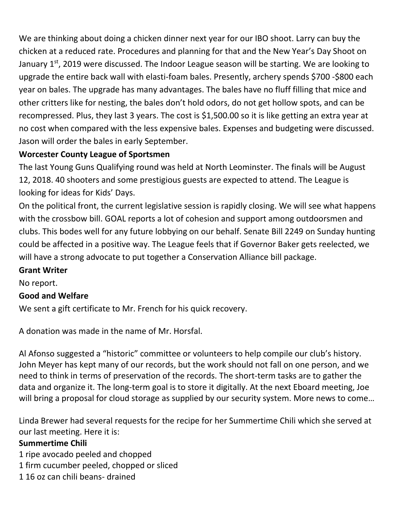We are thinking about doing a chicken dinner next year for our IBO shoot. Larry can buy the chicken at a reduced rate. Procedures and planning for that and the New Year's Day Shoot on January  $1^{st}$ , 2019 were discussed. The Indoor League season will be starting. We are looking to upgrade the entire back wall with elasti-foam bales. Presently, archery spends \$700 -\$800 each year on bales. The upgrade has many advantages. The bales have no fluff filling that mice and other critters like for nesting, the bales don't hold odors, do not get hollow spots, and can be recompressed. Plus, they last 3 years. The cost is \$1,500.00 so it is like getting an extra year at no cost when compared with the less expensive bales. Expenses and budgeting were discussed. Jason will order the bales in early September.

## **Worcester County League of Sportsmen**

The last Young Guns Qualifying round was held at North Leominster. The finals will be August 12, 2018. 40 shooters and some prestigious guests are expected to attend. The League is looking for ideas for Kids' Days.

On the political front, the current legislative session is rapidly closing. We will see what happens with the crossbow bill. GOAL reports a lot of cohesion and support among outdoorsmen and clubs. This bodes well for any future lobbying on our behalf. Senate Bill 2249 on Sunday hunting could be affected in a positive way. The League feels that if Governor Baker gets reelected, we will have a strong advocate to put together a Conservation Alliance bill package.

#### **Grant Writer**

No report.

## **Good and Welfare**

We sent a gift certificate to Mr. French for his quick recovery.

A donation was made in the name of Mr. Horsfal.

Al Afonso suggested a "historic" committee or volunteers to help compile our club's history. John Meyer has kept many of our records, but the work should not fall on one person, and we need to think in terms of preservation of the records. The short-term tasks are to gather the data and organize it. The long-term goal is to store it digitally. At the next Eboard meeting, Joe will bring a proposal for cloud storage as supplied by our security system. More news to come...

Linda Brewer had several requests for the recipe for her Summertime Chili which she served at our last meeting. Here it is:

#### **Summertime Chili**

- 1 ripe avocado peeled and chopped
- 1 firm cucumber peeled, chopped or sliced
- 1 16 oz can chili beans- drained